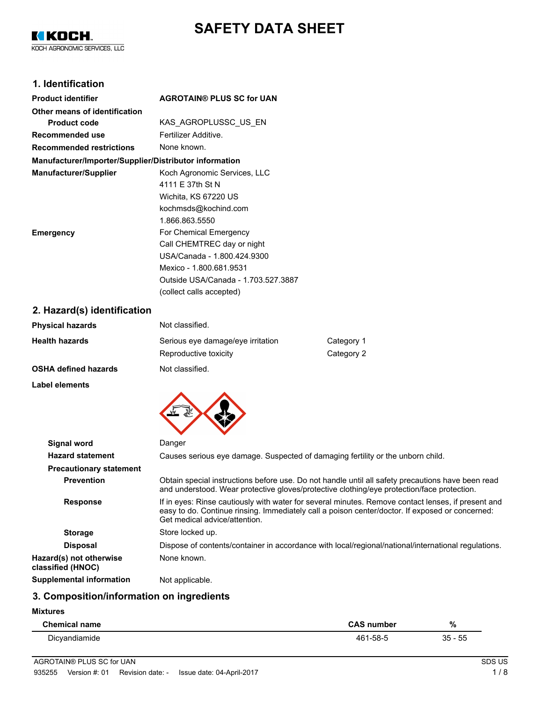# **SAFETY DATA SHEET**

KIKOCH. KOCH AGRONOMIC SERVICES, LLC

## **1. Identification**

| <b>Product identifier</b>                              | <b>AGROTAIN® PLUS SC for UAN</b>    |
|--------------------------------------------------------|-------------------------------------|
| Other means of identification                          |                                     |
| <b>Product code</b>                                    | KAS AGROPLUSSC US EN                |
| Recommended use                                        | Fertilizer Additive.                |
| <b>Recommended restrictions</b>                        | None known.                         |
| Manufacturer/Importer/Supplier/Distributor information |                                     |
| <b>Manufacturer/Supplier</b>                           | Koch Agronomic Services, LLC        |
|                                                        | 4111 E 37th St N                    |
|                                                        | Wichita, KS 67220 US                |
|                                                        | kochmsds@kochind.com                |
|                                                        | 1.866.863.5550                      |
| <b>Emergency</b>                                       | For Chemical Emergency              |
|                                                        | Call CHEMTREC day or night          |
|                                                        | USA/Canada - 1.800.424.9300         |
|                                                        | Mexico - 1.800.681.9531             |
|                                                        | Outside USA/Canada - 1.703.527.3887 |
|                                                        | (collect calls accepted)            |

**2. Hazard(s) identification**

| <b>Physical hazards</b>     | Not classified.                   |            |
|-----------------------------|-----------------------------------|------------|
| <b>Health hazards</b>       | Serious eye damage/eye irritation | Category 1 |
|                             | Reproductive toxicity             | Category 2 |
| <b>OSHA defined hazards</b> | Not classified.                   |            |

**Label elements**



| Signal word                                  | Danger                                                                                                                                                                                                                                 |
|----------------------------------------------|----------------------------------------------------------------------------------------------------------------------------------------------------------------------------------------------------------------------------------------|
| <b>Hazard statement</b>                      | Causes serious eye damage. Suspected of damaging fertility or the unborn child.                                                                                                                                                        |
| <b>Precautionary statement</b>               |                                                                                                                                                                                                                                        |
| <b>Prevention</b>                            | Obtain special instructions before use. Do not handle until all safety precautions have been read<br>and understood. Wear protective gloves/protective clothing/eye protection/face protection.                                        |
| <b>Response</b>                              | If in eyes: Rinse cautiously with water for several minutes. Remove contact lenses, if present and<br>easy to do. Continue rinsing. Immediately call a poison center/doctor. If exposed or concerned:<br>Get medical advice/attention. |
| <b>Storage</b>                               | Store locked up.                                                                                                                                                                                                                       |
| <b>Disposal</b>                              | Dispose of contents/container in accordance with local/regional/national/international regulations.                                                                                                                                    |
| Hazard(s) not otherwise<br>classified (HNOC) | None known.                                                                                                                                                                                                                            |
| <b>Supplemental information</b>              | Not applicable.                                                                                                                                                                                                                        |

# **3. Composition/information on ingredients**

**Mixtures**

| <b>Chemical name</b> | <b>CAS number</b> | %             |
|----------------------|-------------------|---------------|
| Dicyandiamide        | 461-58-5          | $35 -$<br>-55 |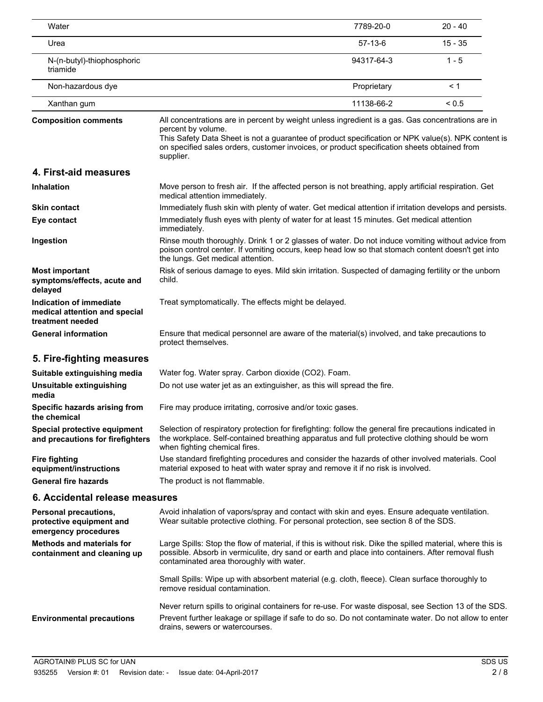| Water                                                                        |                                                                                                                                                                                                                                                                                                                                           | 7789-20-0   | $20 - 40$  |
|------------------------------------------------------------------------------|-------------------------------------------------------------------------------------------------------------------------------------------------------------------------------------------------------------------------------------------------------------------------------------------------------------------------------------------|-------------|------------|
| Urea                                                                         |                                                                                                                                                                                                                                                                                                                                           | $57-13-6$   | $15 - 35$  |
| N-(n-butyl)-thiophosphoric<br>triamide                                       |                                                                                                                                                                                                                                                                                                                                           | 94317-64-3  | $1 - 5$    |
| Non-hazardous dye                                                            |                                                                                                                                                                                                                                                                                                                                           | Proprietary | < 1        |
| Xanthan gum                                                                  |                                                                                                                                                                                                                                                                                                                                           | 11138-66-2  | ${}_{0.5}$ |
| <b>Composition comments</b>                                                  | All concentrations are in percent by weight unless ingredient is a gas. Gas concentrations are in<br>percent by volume.<br>This Safety Data Sheet is not a guarantee of product specification or NPK value(s). NPK content is<br>on specified sales orders, customer invoices, or product specification sheets obtained from<br>supplier. |             |            |
| 4. First-aid measures                                                        |                                                                                                                                                                                                                                                                                                                                           |             |            |
| <b>Inhalation</b>                                                            | Move person to fresh air. If the affected person is not breathing, apply artificial respiration. Get<br>medical attention immediately.                                                                                                                                                                                                    |             |            |
| <b>Skin contact</b>                                                          | Immediately flush skin with plenty of water. Get medical attention if irritation develops and persists.                                                                                                                                                                                                                                   |             |            |
| Eye contact                                                                  | Immediately flush eyes with plenty of water for at least 15 minutes. Get medical attention<br>immediately.                                                                                                                                                                                                                                |             |            |
| Ingestion                                                                    | Rinse mouth thoroughly. Drink 1 or 2 glasses of water. Do not induce vomiting without advice from<br>poison control center. If vomiting occurs, keep head low so that stomach content doesn't get into<br>the lungs. Get medical attention.                                                                                               |             |            |
| <b>Most important</b><br>symptoms/effects, acute and<br>delayed              | Risk of serious damage to eyes. Mild skin irritation. Suspected of damaging fertility or the unborn<br>child.                                                                                                                                                                                                                             |             |            |
| Indication of immediate<br>medical attention and special<br>treatment needed | Treat symptomatically. The effects might be delayed.                                                                                                                                                                                                                                                                                      |             |            |
| <b>General information</b>                                                   | Ensure that medical personnel are aware of the material(s) involved, and take precautions to<br>protect themselves.                                                                                                                                                                                                                       |             |            |
| 5. Fire-fighting measures                                                    |                                                                                                                                                                                                                                                                                                                                           |             |            |
| Suitable extinguishing media                                                 | Water fog. Water spray. Carbon dioxide (CO2). Foam.                                                                                                                                                                                                                                                                                       |             |            |
| Unsuitable extinguishing<br>media                                            | Do not use water jet as an extinguisher, as this will spread the fire.                                                                                                                                                                                                                                                                    |             |            |
| Specific hazards arising from<br>the chemical                                | Fire may produce irritating, corrosive and/or toxic gases.                                                                                                                                                                                                                                                                                |             |            |
| Special protective equipment<br>and precautions for firefighters             | Selection of respiratory protection for firefighting: follow the general fire precautions indicated in<br>the workplace. Self-contained breathing apparatus and full protective clothing should be worn<br>when fighting chemical fires.                                                                                                  |             |            |
| <b>Fire fighting</b><br>equipment/instructions                               | Use standard firefighting procedures and consider the hazards of other involved materials. Cool<br>material exposed to heat with water spray and remove it if no risk is involved.                                                                                                                                                        |             |            |
| <b>General fire hazards</b>                                                  | The product is not flammable.                                                                                                                                                                                                                                                                                                             |             |            |
| 6. Accidental release measures                                               |                                                                                                                                                                                                                                                                                                                                           |             |            |
| Personal precautions,<br>protective equipment and<br>emergency procedures    | Avoid inhalation of vapors/spray and contact with skin and eyes. Ensure adequate ventilation.<br>Wear suitable protective clothing. For personal protection, see section 8 of the SDS.                                                                                                                                                    |             |            |
| <b>Methods and materials for</b><br>containment and cleaning up              | Large Spills: Stop the flow of material, if this is without risk. Dike the spilled material, where this is<br>possible. Absorb in vermiculite, dry sand or earth and place into containers. After removal flush<br>contaminated area thoroughly with water.                                                                               |             |            |
|                                                                              | Small Spills: Wipe up with absorbent material (e.g. cloth, fleece). Clean surface thoroughly to<br>remove residual contamination.                                                                                                                                                                                                         |             |            |
|                                                                              | Never return spills to original containers for re-use. For waste disposal, see Section 13 of the SDS.                                                                                                                                                                                                                                     |             |            |
| <b>Environmental precautions</b>                                             | Prevent further leakage or spillage if safe to do so. Do not contaminate water. Do not allow to enter<br>drains, sewers or watercourses.                                                                                                                                                                                                  |             |            |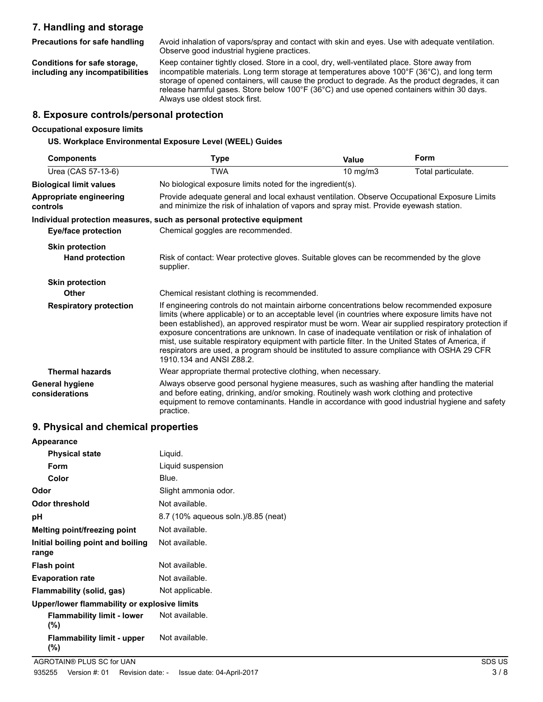## **7. Handling and storage**

**Precautions for safe handling**

**Conditions for safe storage, including any incompatibilities** Avoid inhalation of vapors/spray and contact with skin and eyes. Use with adequate ventilation. Observe good industrial hygiene practices.

Keep container tightly closed. Store in a cool, dry, well-ventilated place. Store away from incompatible materials. Long term storage at temperatures above 100°F (36°C), and long term storage of opened containers, will cause the product to degrade. As the product degrades, it can release harmful gases. Store below 100°F (36°C) and use opened containers within 30 days. Always use oldest stock first.

## **8. Exposure controls/personal protection**

#### **Occupational exposure limits**

#### **US. Workplace Environmental Exposure Level (WEEL) Guides**

| <b>Components</b>                        | Type                                                                                                                                                                                                                                                                                                                                                                                                                                                                                                                                                                                                                                     | Value    | Form               |
|------------------------------------------|------------------------------------------------------------------------------------------------------------------------------------------------------------------------------------------------------------------------------------------------------------------------------------------------------------------------------------------------------------------------------------------------------------------------------------------------------------------------------------------------------------------------------------------------------------------------------------------------------------------------------------------|----------|--------------------|
| Urea (CAS 57-13-6)                       | <b>TWA</b>                                                                                                                                                                                                                                                                                                                                                                                                                                                                                                                                                                                                                               | 10 mg/m3 | Total particulate. |
| <b>Biological limit values</b>           | No biological exposure limits noted for the ingredient(s).                                                                                                                                                                                                                                                                                                                                                                                                                                                                                                                                                                               |          |                    |
| Appropriate engineering<br>controls      | Provide adequate general and local exhaust ventilation. Observe Occupational Exposure Limits<br>and minimize the risk of inhalation of vapors and spray mist. Provide eyewash station.                                                                                                                                                                                                                                                                                                                                                                                                                                                   |          |                    |
|                                          | Individual protection measures, such as personal protective equipment                                                                                                                                                                                                                                                                                                                                                                                                                                                                                                                                                                    |          |                    |
| <b>Eye/face protection</b>               | Chemical goggles are recommended.                                                                                                                                                                                                                                                                                                                                                                                                                                                                                                                                                                                                        |          |                    |
| <b>Skin protection</b>                   |                                                                                                                                                                                                                                                                                                                                                                                                                                                                                                                                                                                                                                          |          |                    |
| <b>Hand protection</b>                   | Risk of contact: Wear protective gloves. Suitable gloves can be recommended by the glove<br>supplier.                                                                                                                                                                                                                                                                                                                                                                                                                                                                                                                                    |          |                    |
| <b>Skin protection</b>                   |                                                                                                                                                                                                                                                                                                                                                                                                                                                                                                                                                                                                                                          |          |                    |
| Other                                    | Chemical resistant clothing is recommended.                                                                                                                                                                                                                                                                                                                                                                                                                                                                                                                                                                                              |          |                    |
| <b>Respiratory protection</b>            | If engineering controls do not maintain airborne concentrations below recommended exposure<br>limits (where applicable) or to an acceptable level (in countries where exposure limits have not<br>been established), an approved respirator must be worn. Wear air supplied respiratory protection if<br>exposure concentrations are unknown. In case of inadequate ventilation or risk of inhalation of<br>mist, use suitable respiratory equipment with particle filter. In the United States of America, if<br>respirators are used, a program should be instituted to assure compliance with OSHA 29 CFR<br>1910.134 and ANSI 788.2. |          |                    |
| <b>Thermal hazards</b>                   | Wear appropriate thermal protective clothing, when necessary.                                                                                                                                                                                                                                                                                                                                                                                                                                                                                                                                                                            |          |                    |
| <b>General hygiene</b><br>considerations | Always observe good personal hygiene measures, such as washing after handling the material<br>and before eating, drinking, and/or smoking. Routinely wash work clothing and protective<br>equipment to remove contaminants. Handle in accordance with good industrial hygiene and safety<br>practice.                                                                                                                                                                                                                                                                                                                                    |          |                    |

## **9. Physical and chemical properties**

| Appearance                                   |                                     |
|----------------------------------------------|-------------------------------------|
| <b>Physical state</b>                        | Liquid.                             |
| <b>Form</b>                                  | Liquid suspension                   |
| Color                                        | Blue.                               |
| Odor                                         | Slight ammonia odor.                |
| Odor threshold                               | Not available.                      |
| рH                                           | 8.7 (10% aqueous soln.)/8.85 (neat) |
| Melting point/freezing point                 | Not available.                      |
| Initial boiling point and boiling<br>range   | Not available.                      |
| <b>Flash point</b>                           | Not available.                      |
| <b>Evaporation rate</b>                      | Not available.                      |
| Flammability (solid, gas)                    | Not applicable.                     |
| Upper/lower flammability or explosive limits |                                     |
| <b>Flammability limit - lower</b><br>$(\%)$  | Not available.                      |
| <b>Flammability limit - upper</b><br>(%)     | Not available.                      |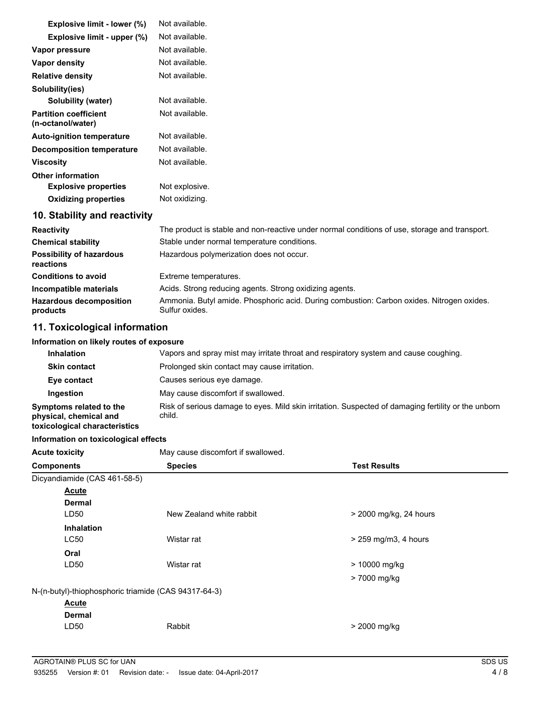| Explosive limit - lower (%)                       | Not available.                                                                                |
|---------------------------------------------------|-----------------------------------------------------------------------------------------------|
| Explosive limit - upper (%)                       | Not available.                                                                                |
| Vapor pressure                                    | Not available.                                                                                |
| Vapor density                                     | Not available.                                                                                |
| <b>Relative density</b>                           | Not available.                                                                                |
| Solubility(ies)                                   |                                                                                               |
| Solubility (water)                                | Not available.                                                                                |
| <b>Partition coefficient</b><br>(n-octanol/water) | Not available.                                                                                |
| <b>Auto-ignition temperature</b>                  | Not available.                                                                                |
| <b>Decomposition temperature</b>                  | Not available.                                                                                |
| <b>Viscosity</b>                                  | Not available.                                                                                |
| <b>Other information</b>                          |                                                                                               |
| <b>Explosive properties</b>                       | Not explosive.                                                                                |
| <b>Oxidizing properties</b>                       | Not oxidizing.                                                                                |
| 10. Stability and reactivity                      |                                                                                               |
| <b>Reactivity</b>                                 | The product is stable and non-reactive under normal conditions of use, storage and transport. |
| <b>Chemical stability</b>                         | Stable under normal temperature conditions.                                                   |
| <b>Possibility of hazardous</b><br>reactions      | Hazardous polymerization does not occur.                                                      |

| 1 949 879 19                               |                                                                                                             |
|--------------------------------------------|-------------------------------------------------------------------------------------------------------------|
| <b>Conditions to avoid</b>                 | Extreme temperatures.                                                                                       |
| Incompatible materials                     | Acids. Strong reducing agents. Strong oxidizing agents.                                                     |
| <b>Hazardous decomposition</b><br>products | Ammonia. Butyl amide. Phosphoric acid. During combustion: Carbon oxides. Nitrogen oxides.<br>Sulfur oxides. |

## **11. Toxicological information**

## **Information on likely routes of exposure**

| <b>Inhalation</b>                                                                  | Vapors and spray mist may irritate throat and respiratory system and cause coughing.                          |
|------------------------------------------------------------------------------------|---------------------------------------------------------------------------------------------------------------|
| <b>Skin contact</b>                                                                | Prolonged skin contact may cause irritation.                                                                  |
| Eye contact                                                                        | Causes serious eye damage.                                                                                    |
| Ingestion                                                                          | May cause discomfort if swallowed.                                                                            |
| Symptoms related to the<br>physical, chemical and<br>toxicological characteristics | Risk of serious damage to eyes. Mild skin irritation. Suspected of damaging fertility or the unborn<br>child. |

## **Information on toxicological effects**

Acute toxicity **May cause discomfort if swallowed.** 

| <b>Components</b>            | <b>Species</b>                                       | <b>Test Results</b>    |
|------------------------------|------------------------------------------------------|------------------------|
| Dicyandiamide (CAS 461-58-5) |                                                      |                        |
| <b>Acute</b>                 |                                                      |                        |
| <b>Dermal</b>                |                                                      |                        |
| LD50                         | New Zealand white rabbit                             | > 2000 mg/kg, 24 hours |
| <b>Inhalation</b>            |                                                      |                        |
| <b>LC50</b>                  | Wistar rat                                           | > 259 mg/m3, 4 hours   |
| Oral                         |                                                      |                        |
| LD50                         | Wistar rat                                           | > 10000 mg/kg          |
|                              |                                                      | > 7000 mg/kg           |
|                              | N-(n-butyl)-thiophosphoric triamide (CAS 94317-64-3) |                        |
| <b>Acute</b>                 |                                                      |                        |
| <b>Dermal</b>                |                                                      |                        |
| LD <sub>50</sub>             | Rabbit                                               | > 2000 mg/kg           |
|                              |                                                      |                        |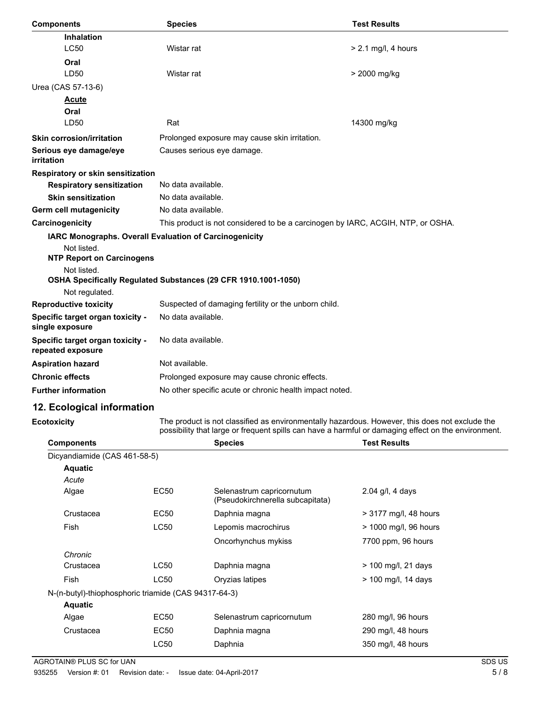| <b>Components</b>                                      | <b>Species</b>                                                                  | <b>Test Results</b>   |
|--------------------------------------------------------|---------------------------------------------------------------------------------|-----------------------|
| <b>Inhalation</b>                                      |                                                                                 |                       |
| <b>LC50</b>                                            | Wistar rat                                                                      | $> 2.1$ mg/l, 4 hours |
| Oral                                                   |                                                                                 |                       |
| LD50                                                   | Wistar rat                                                                      | > 2000 mg/kg          |
| Urea (CAS 57-13-6)                                     |                                                                                 |                       |
| <b>Acute</b>                                           |                                                                                 |                       |
| Oral                                                   |                                                                                 |                       |
| LD50                                                   | Rat                                                                             | 14300 mg/kg           |
| <b>Skin corrosion/irritation</b>                       | Prolonged exposure may cause skin irritation.                                   |                       |
| Serious eye damage/eye<br>irritation                   | Causes serious eye damage.                                                      |                       |
| Respiratory or skin sensitization                      |                                                                                 |                       |
| <b>Respiratory sensitization</b>                       | No data available.                                                              |                       |
| <b>Skin sensitization</b>                              | No data available.                                                              |                       |
| <b>Germ cell mutagenicity</b>                          | No data available.                                                              |                       |
| Carcinogenicity                                        | This product is not considered to be a carcinogen by IARC, ACGIH, NTP, or OSHA. |                       |
| IARC Monographs. Overall Evaluation of Carcinogenicity |                                                                                 |                       |
| Not listed.                                            |                                                                                 |                       |
| <b>NTP Report on Carcinogens</b>                       |                                                                                 |                       |
| Not listed.                                            |                                                                                 |                       |
| Not regulated.                                         | OSHA Specifically Regulated Substances (29 CFR 1910.1001-1050)                  |                       |
| <b>Reproductive toxicity</b>                           | Suspected of damaging fertility or the unborn child.                            |                       |
| Specific target organ toxicity -<br>single exposure    | No data available.                                                              |                       |
| Specific target organ toxicity -<br>repeated exposure  | No data available.                                                              |                       |
| <b>Aspiration hazard</b>                               | Not available.                                                                  |                       |
| <b>Chronic effects</b>                                 | Prolonged exposure may cause chronic effects.                                   |                       |
| <b>Further information</b>                             | No other specific acute or chronic health impact noted.                         |                       |
| 12. Ecological information                             |                                                                                 |                       |

## **12. Ecological information**

**Ecotoxicity**

The product is not classified as environmentally hazardous. However, this does not exclude the possibility that large or frequent spills can have a harmful or damaging effect on the environment.

| <b>Components</b>                                    |             | <b>Species</b>                                                | <b>Test Results</b>   |
|------------------------------------------------------|-------------|---------------------------------------------------------------|-----------------------|
| Dicyandiamide (CAS 461-58-5)                         |             |                                                               |                       |
| <b>Aquatic</b>                                       |             |                                                               |                       |
| Acute                                                |             |                                                               |                       |
| Algae                                                | EC50        | Selenastrum capricornutum<br>(Pseudokirchnerella subcapitata) | $2.04$ g/l, 4 days    |
| Crustacea                                            | EC50        | Daphnia magna                                                 | > 3177 mg/l, 48 hours |
| Fish                                                 | <b>LC50</b> | Lepomis macrochirus                                           | > 1000 mg/l, 96 hours |
|                                                      |             | Oncorhynchus mykiss                                           | 7700 ppm, 96 hours    |
| Chronic                                              |             |                                                               |                       |
| Crustacea                                            | LC50        | Daphnia magna                                                 | > 100 mg/l, 21 days   |
| <b>Fish</b>                                          | <b>LC50</b> | Oryzias latipes                                               | > 100 mg/l, 14 days   |
| N-(n-butyl)-thiophosphoric triamide (CAS 94317-64-3) |             |                                                               |                       |
| <b>Aquatic</b>                                       |             |                                                               |                       |
| Algae                                                | EC50        | Selenastrum capricornutum                                     | 280 mg/l, 96 hours    |
| Crustacea                                            | EC50        | Daphnia magna                                                 | 290 mg/l, 48 hours    |
|                                                      | <b>LC50</b> | Daphnia                                                       | 350 mg/l, 48 hours    |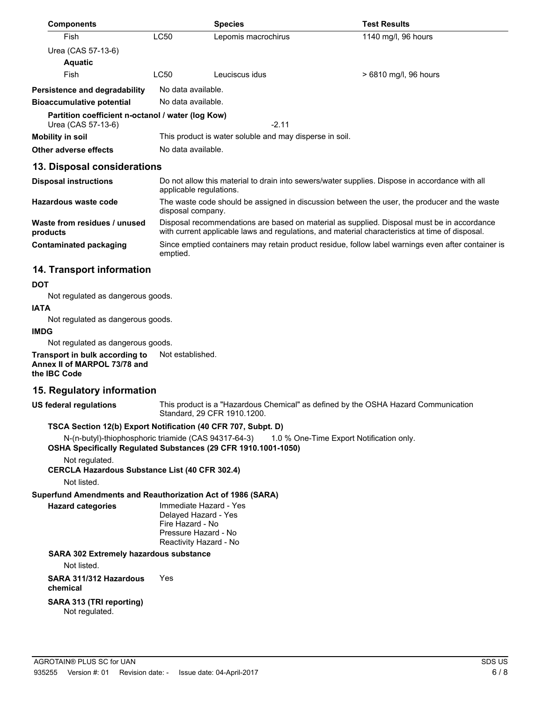| <b>Components</b>                                                       |                                                                                                                                                                                               | <b>Species</b>      | <b>Test Results</b>   |
|-------------------------------------------------------------------------|-----------------------------------------------------------------------------------------------------------------------------------------------------------------------------------------------|---------------------|-----------------------|
| Fish                                                                    | <b>LC50</b>                                                                                                                                                                                   | Lepomis macrochirus | 1140 mg/l, 96 hours   |
| Urea (CAS 57-13-6)                                                      |                                                                                                                                                                                               |                     |                       |
| <b>Aquatic</b>                                                          |                                                                                                                                                                                               |                     |                       |
| Fish                                                                    | LC50                                                                                                                                                                                          | Leuciscus idus      | > 6810 mg/l, 96 hours |
| Persistence and degradability                                           | No data available.                                                                                                                                                                            |                     |                       |
| <b>Bioaccumulative potential</b>                                        | No data available.                                                                                                                                                                            |                     |                       |
| Partition coefficient n-octanol / water (log Kow)<br>Urea (CAS 57-13-6) |                                                                                                                                                                                               | $-2.11$             |                       |
| <b>Mobility in soil</b>                                                 | This product is water soluble and may disperse in soil.                                                                                                                                       |                     |                       |
| Other adverse effects                                                   | No data available.                                                                                                                                                                            |                     |                       |
| 13. Disposal considerations                                             |                                                                                                                                                                                               |                     |                       |
| <b>Disposal instructions</b>                                            | Do not allow this material to drain into sewers/water supplies. Dispose in accordance with all<br>applicable regulations.                                                                     |                     |                       |
| Hazardous waste code                                                    | The waste code should be assigned in discussion between the user, the producer and the waste<br>disposal company.                                                                             |                     |                       |
| Waste from residues / unused<br>products                                | Disposal recommendations are based on material as supplied. Disposal must be in accordance<br>with current applicable laws and regulations, and material characteristics at time of disposal. |                     |                       |
| <b>Contaminated packaging</b>                                           | Since emptied containers may retain product residue, follow label warnings even after container is<br>emptied.                                                                                |                     |                       |
|                                                                         |                                                                                                                                                                                               |                     |                       |

## **14. Transport information**

#### **DOT**

Not regulated as dangerous goods.

#### **IATA**

Not regulated as dangerous goods.

### **IMDG**

Not regulated as dangerous goods.

**Transport in bulk according to** Not established. **Annex II of MARPOL 73/78 and the IBC Code**

## **15. Regulatory information**

This product is a "Hazardous Chemical" as defined by the OSHA Hazard Communication Standard, 29 CFR 1910.1200. **US federal regulations**

## **TSCA Section 12(b) Export Notification (40 CFR 707, Subpt. D)**

N-(n-butyl)-thiophosphoric triamide (CAS 94317-64-3) 1.0 % One-Time Export Notification only.

**OSHA Specifically Regulated Substances (29 CFR 1910.1001-1050)**

Not regulated.

**CERCLA Hazardous Substance List (40 CFR 302.4)**

Not listed.

**Hazard categories**

## **Superfund Amendments and Reauthorization Act of 1986 (SARA)**

Immediate Hazard - Yes Delayed Hazard - Yes Fire Hazard - No Pressure Hazard - No Reactivity Hazard - No

## **SARA 302 Extremely hazardous substance**

Not listed.

**SARA 311/312 Hazardous** Yes **chemical**

#### **SARA 313 (TRI reporting)** Not regulated.

AGROTAIN® PLUS SC for UAN SOLUS AND THE SUBSECTION OF THE SUBSECTION OF THE SUBSECTION OF THE SUBSECTION OF THE SUBSECTION OF THE SUBSECTION OF THE SUBSECTION OF THE SUBSECTION OF THE SUBSECTION OF THE SUBSECTION OF THE SU 935255 Version #: 01 Revision date: - Issue date: 04-April-2017 6 / 8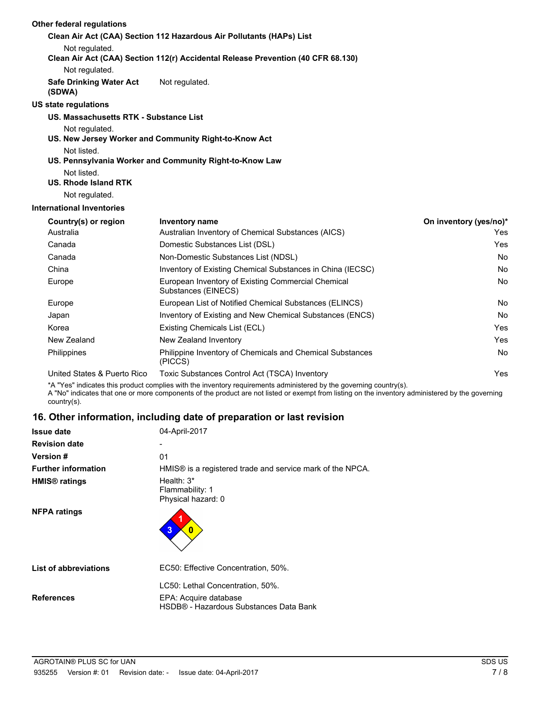| Other federal regulations                |                                                                                  |                        |
|------------------------------------------|----------------------------------------------------------------------------------|------------------------|
|                                          | Clean Air Act (CAA) Section 112 Hazardous Air Pollutants (HAPs) List             |                        |
| Not regulated.                           |                                                                                  |                        |
|                                          | Clean Air Act (CAA) Section 112(r) Accidental Release Prevention (40 CFR 68.130) |                        |
| Not regulated.                           |                                                                                  |                        |
| <b>Safe Drinking Water Act</b><br>(SDWA) | Not regulated.                                                                   |                        |
| US state regulations                     |                                                                                  |                        |
| US. Massachusetts RTK - Substance List   |                                                                                  |                        |
| Not regulated.                           |                                                                                  |                        |
|                                          | US. New Jersey Worker and Community Right-to-Know Act                            |                        |
| Not listed.                              |                                                                                  |                        |
|                                          | US. Pennsylvania Worker and Community Right-to-Know Law                          |                        |
| Not listed.                              |                                                                                  |                        |
| US. Rhode Island RTK                     |                                                                                  |                        |
| Not regulated.                           |                                                                                  |                        |
| International Inventories                |                                                                                  |                        |
| Country(s) or region                     | Inventory name                                                                   | On inventory (yes/no)* |
| Australia                                | Australian Inventory of Chemical Substances (AICS)                               | Yes                    |
|                                          |                                                                                  |                        |

| Australia                   | Australian Inventory of Chemical Substances (AICS)                        | <b>Yes</b> |
|-----------------------------|---------------------------------------------------------------------------|------------|
| Canada                      | Domestic Substances List (DSL)                                            | Yes        |
| Canada                      | Non-Domestic Substances List (NDSL)                                       | No.        |
| China                       | Inventory of Existing Chemical Substances in China (IECSC)                | No.        |
| Europe                      | European Inventory of Existing Commercial Chemical<br>Substances (EINECS) | No.        |
| Europe                      | European List of Notified Chemical Substances (ELINCS)                    | No.        |
| Japan                       | Inventory of Existing and New Chemical Substances (ENCS)                  | No.        |
| Korea                       | Existing Chemicals List (ECL)                                             | <b>Yes</b> |
| New Zealand                 | New Zealand Inventory                                                     | Yes        |
| Philippines                 | Philippine Inventory of Chemicals and Chemical Substances<br>(PICCS)      | No         |
| United States & Puerto Rico | Toxic Substances Control Act (TSCA) Inventory                             | Yes        |

\*A "Yes" indicates this product complies with the inventory requirements administered by the governing country(s). A "No" indicates that one or more components of the product are not listed or exempt from listing on the inventory administered by the governing country(s).

## **16. Other information, including date of preparation or last revision**

| <b>Issue date</b>            | 04-April-2017                                                                                       |
|------------------------------|-----------------------------------------------------------------------------------------------------|
| <b>Revision date</b>         |                                                                                                     |
| <b>Version</b> #             | 01                                                                                                  |
| <b>Further information</b>   | HMIS® is a registered trade and service mark of the NPCA.                                           |
| HMIS <sup>®</sup> ratings    | Health: $3*$<br>Flammability: 1<br>Physical hazard: 0                                               |
| <b>NFPA ratings</b>          | 3<br>0                                                                                              |
| <b>List of abbreviations</b> | EC50: Effective Concentration, 50%.                                                                 |
| <b>References</b>            | LC50: Lethal Concentration, 50%.<br>EPA: Acquire database<br>HSDB® - Hazardous Substances Data Bank |
|                              |                                                                                                     |